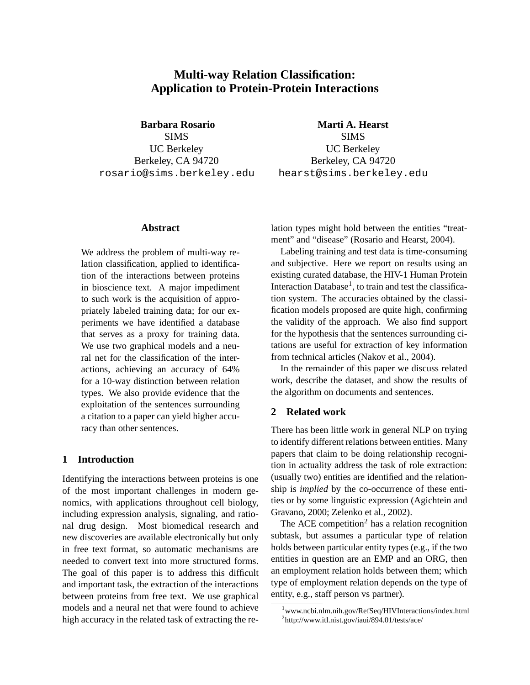# **Multi-way Relation Classification: Application to Protein-Protein Interactions**

**Barbara Rosario** SIMS UC Berkeley Berkeley, CA 94720 rosario@sims.berkeley.edu

## **Abstract**

We address the problem of multi-way relation classification, applied to identification of the interactions between proteins in bioscience text. A major impediment to such work is the acquisition of appropriately labeled training data; for our experiments we have identified a database that serves as a proxy for training data. We use two graphical models and a neural net for the classification of the interactions, achieving an accuracy of 64% for a 10-way distinction between relation types. We also provide evidence that the exploitation of the sentences surrounding a citation to a paper can yield higher accuracy than other sentences.

# **1 Introduction**

Identifying the interactions between proteins is one of the most important challenges in modern genomics, with applications throughout cell biology, including expression analysis, signaling, and rational drug design. Most biomedical research and new discoveries are available electronically but only in free text format, so automatic mechanisms are needed to convert text into more structured forms. The goal of this paper is to address this difficult and important task, the extraction of the interactions between proteins from free text. We use graphical models and a neural net that were found to achieve high accuracy in the related task of extracting the re-

**Marti A. Hearst** SIMS UC Berkeley Berkeley, CA 94720 hearst@sims.berkeley.edu

lation types might hold between the entities "treatment" and "disease" (Rosario and Hearst, 2004).

Labeling training and test data is time-consuming and subjective. Here we report on results using an existing curated database, the HIV-1 Human Protein Interaction Database<sup>1</sup>, to train and test the classification system. The accuracies obtained by the classification models proposed are quite high, confirming the validity of the approach. We also find support for the hypothesis that the sentences surrounding citations are useful for extraction of key information from technical articles (Nakov et al., 2004).

In the remainder of this paper we discuss related work, describe the dataset, and show the results of the algorithm on documents and sentences.

# **2 Related work**

There has been little work in general NLP on trying to identify different relations between entities. Many papers that claim to be doing relationship recognition in actuality address the task of role extraction: (usually two) entities are identified and the relationship is *implied* by the co-occurrence of these entities or by some linguistic expression (Agichtein and Gravano, 2000; Zelenko et al., 2002).

The ACE competition<sup>2</sup> has a relation recognition subtask, but assumes a particular type of relation holds between particular entity types (e.g., if the two entities in question are an EMP and an ORG, then an employment relation holds between them; which type of employment relation depends on the type of entity, e.g., staff person vs partner).

<sup>1</sup>www.ncbi.nlm.nih.gov/RefSeq/HIVInteractions/index.html 2 http://www.itl.nist.gov/iaui/894.01/tests/ace/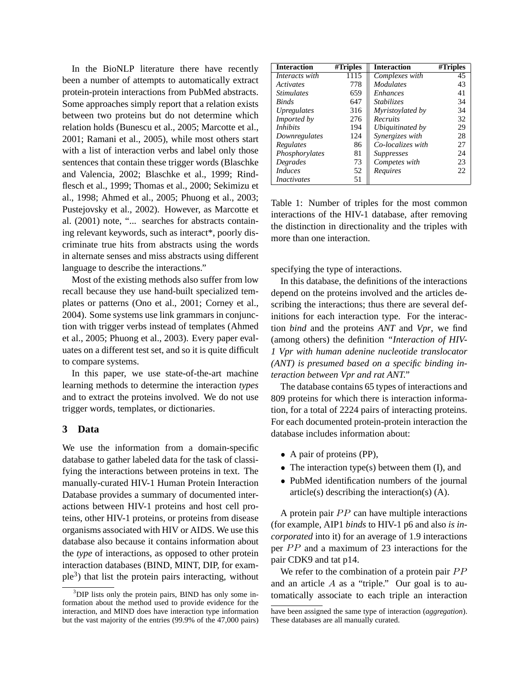In the BioNLP literature there have recently been a number of attempts to automatically extract protein-protein interactions from PubMed abstracts. Some approaches simply report that a relation exists between two proteins but do not determine which relation holds (Bunescu et al., 2005; Marcotte et al., 2001; Ramani et al., 2005), while most others start with a list of interaction verbs and label only those sentences that contain these trigger words (Blaschke and Valencia, 2002; Blaschke et al., 1999; Rindflesch et al., 1999; Thomas et al., 2000; Sekimizu et al., 1998; Ahmed et al., 2005; Phuong et al., 2003; Pustejovsky et al., 2002). However, as Marcotte et al. (2001) note, "... searches for abstracts containing relevant keywords, such as interact\*, poorly discriminate true hits from abstracts using the words in alternate senses and miss abstracts using different language to describe the interactions."

Most of the existing methods also suffer from low recall because they use hand-built specialized templates or patterns (Ono et al., 2001; Corney et al., 2004). Some systems use link grammars in conjunction with trigger verbs instead of templates (Ahmed et al., 2005; Phuong et al., 2003). Every paper evaluates on a different test set, and so it is quite difficult to compare systems.

In this paper, we use state-of-the-art machine learning methods to determine the interaction *types* and to extract the proteins involved. We do not use trigger words, templates, or dictionaries.

## **3 Data**

We use the information from a domain-specific database to gather labeled data for the task of classifying the interactions between proteins in text. The manually-curated HIV-1 Human Protein Interaction Database provides a summary of documented interactions between HIV-1 proteins and host cell proteins, other HIV-1 proteins, or proteins from disease organisms associated with HIV or AIDS. We use this database also because it contains information about the *type* of interactions, as opposed to other protein interaction databases (BIND, MINT, DIP, for example<sup>3</sup>) that list the protein pairs interacting, without

| <b>Interaction</b>              | $\overline{\text{H}}$ Triples | <b>Interaction</b> | #Triples |
|---------------------------------|-------------------------------|--------------------|----------|
| Interacts with                  | 1115                          | Complexes with     | 45       |
| <i><u>Activates</u></i>         | 778                           | <b>Modulates</b>   | 43       |
| <i><u><b>Stimulates</b></u></i> | 659                           | <i>Enhances</i>    | 41       |
| <b>Binds</b>                    | 647                           | <b>Stabilizes</b>  | 34       |
| <i>Upregulates</i>              | 316                           | Myristoylated by   | 34       |
| Imported by                     | 276                           | Recruits           | 32       |
| <i>Inhibits</i>                 | 194                           | Ubiquitinated by   | 29       |
| Downregulates                   | 124                           | Synergizes with    | 28       |
| Regulates                       | 86                            | Co-localizes with  | 27       |
| Phosphorylates                  | 81                            | <i>Suppresses</i>  | 24       |
| Degrades                        | 73                            | Competes with      | 23       |
| <b>Induces</b>                  | 52                            | Requires           | 22       |
| <i>Inactivates</i>              | 51                            |                    |          |

Table 1: Number of triples for the most common interactions of the HIV-1 database, after removing the distinction in directionality and the triples with more than one interaction.

specifying the type of interactions.

In this database, the definitions of the interactions depend on the proteins involved and the articles describing the interactions; thus there are several definitions for each interaction type. For the interaction *bind* and the proteins *ANT* and *Vpr*, we find (among others) the definition *"Interaction of HIV-1 Vpr with human adenine nucleotide translocator (ANT) is presumed based on a specific binding interaction between Vpr and rat ANT."*

The database contains 65 types of interactions and 809 proteins for which there is interaction information, for a total of 2224 pairs of interacting proteins. For each documented protein-protein interaction the database includes information about:

- A pair of proteins (PP),
- The interaction type(s) between them (I), and
- PubMed identification numbers of the journal article(s) describing the interaction(s) (A).

A protein pair  $PP$  can have multiple interactions (for example, AIP1 *binds* to HIV-1 p6 and also *is incorporated* into it) for an average of 1.9 interactions per  $PP$  and a maximum of 23 interactions for the pair CDK9 and tat p14.

We refer to the combination of a protein pair  $PP$ and an article  $A$  as a "triple." Our goal is to automatically associate to each triple an interaction

<sup>&</sup>lt;sup>3</sup>DIP lists only the protein pairs, BIND has only some information about the method used to provide evidence for the interaction, and MIND does have interaction type information but the vast majority of the entries (99.9% of the 47,000 pairs)

have been assigned the same type of interaction (*aggregation*). These databases are all manually curated.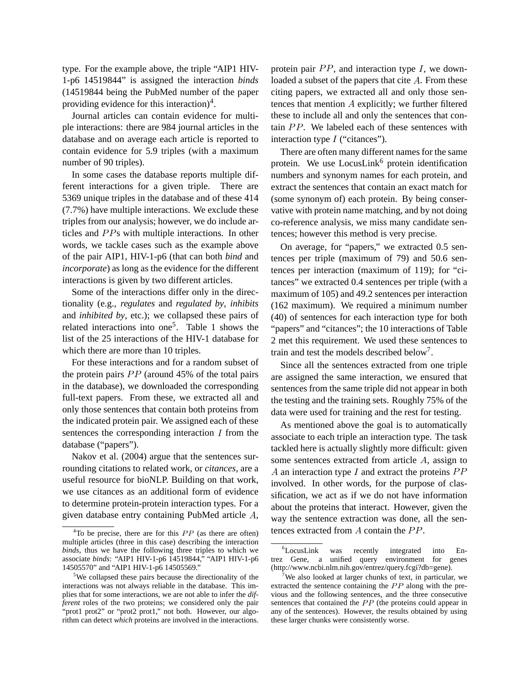type. For the example above, the triple "AIP1 HIV-1-p6 14519844" is assigned the interaction *binds* (14519844 being the PubMed number of the paper providing evidence for this interaction)<sup>4</sup>.

Journal articles can contain evidence for multiple interactions: there are 984 journal articles in the database and on average each article is reported to contain evidence for 5.9 triples (with a maximum number of 90 triples).

In some cases the database reports multiple different interactions for a given triple. There are 5369 unique triples in the database and of these 414 (7.7%) have multiple interactions. We exclude these triples from our analysis; however, we do include articles and PPs with multiple interactions. In other words, we tackle cases such as the example above of the pair AIP1, HIV-1-p6 (that can both *bind* and *incorporate*) as long as the evidence for the different interactions is given by two different articles.

Some of the interactions differ only in the directionality (e.g., *regulates* and *regulated by*, *inhibits* and *inhibited by*, etc.); we collapsed these pairs of related interactions into one<sup>5</sup>. Table 1 shows the list of the 25 interactions of the HIV-1 database for which there are more than 10 triples.

For these interactions and for a random subset of the protein pairs  $PP$  (around 45% of the total pairs in the database), we downloaded the corresponding full-text papers. From these, we extracted all and only those sentences that contain both proteins from the indicated protein pair. We assigned each of these sentences the corresponding interaction  $I$  from the database ("papers").

Nakov et al. (2004) argue that the sentences surrounding citations to related work, or *citances*, are a useful resource for bioNLP. Building on that work, we use citances as an additional form of evidence to determine protein-protein interaction types. For a given database entry containing PubMed article  $A$ ,

protein pair  $PP$ , and interaction type  $I$ , we downloaded a subset of the papers that cite  $A$ . From these citing papers, we extracted all and only those sentences that mention  $A$  explicitly; we further filtered these to include all and only the sentences that contain  $PP$ . We labeled each of these sentences with interaction type  $I$  ("citances").

There are often many different names for the same protein. We use LocusLink $<sup>6</sup>$  protein identification</sup> numbers and synonym names for each protein, and extract the sentences that contain an exact match for (some synonym of) each protein. By being conservative with protein name matching, and by not doing co-reference analysis, we miss many candidate sentences; however this method is very precise.

On average, for "papers," we extracted 0.5 sentences per triple (maximum of 79) and 50.6 sentences per interaction (maximum of 119); for "citances" we extracted 0.4 sentences per triple (with a maximum of 105) and 49.2 sentences per interaction (162 maximum). We required a minimum number (40) of sentences for each interaction type for both "papers" and "citances"; the 10 interactions of Table 2 met this requirement. We used these sentences to train and test the models described below<sup>7</sup>.

Since all the sentences extracted from one triple are assigned the same interaction, we ensured that sentences from the same triple did not appear in both the testing and the training sets. Roughly 75% of the data were used for training and the rest for testing.

As mentioned above the goal is to automatically associate to each triple an interaction type. The task tackled here is actually slightly more difficult: given some sentences extracted from article  $A$ , assign to A an interaction type I and extract the proteins  $PP$ involved. In other words, for the purpose of classification, we act as if we do not have information about the proteins that interact. However, given the way the sentence extraction was done, all the sentences extracted from  $A$  contain the  $PP$ .

 ${}^{4}$ To be precise, there are for this  $PP$  (as there are often) multiple articles (three in this case) describing the interaction *binds*, thus we have the following three triples to which we associate *binds*: "AIP1 HIV-1-p6 14519844," "AIP1 HIV-1-p6 14505570" and "AIP1 HIV-1-p6 14505569."

<sup>5</sup>We collapsed these pairs because the directionality of the interactions was not always reliable in the database. This implies that for some interactions, we are not able to infer the *different* roles of the two proteins; we considered only the pair "prot1 prot2" or "prot2 prot1," not both. However, our algorithm can detect *which* proteins are involved in the interactions.

<sup>6</sup>LocusLink was recently integrated into Entrez Gene, a unified query environment for genes (http://www.ncbi.nlm.nih.gov/entrez/query.fcgi?db=gene).

We also looked at larger chunks of text, in particular, we extracted the sentence containing the  $PP$  along with the previous and the following sentences, and the three consecutive sentences that contained the  $PP$  (the proteins could appear in any of the sentences). However, the results obtained by using these larger chunks were consistently worse.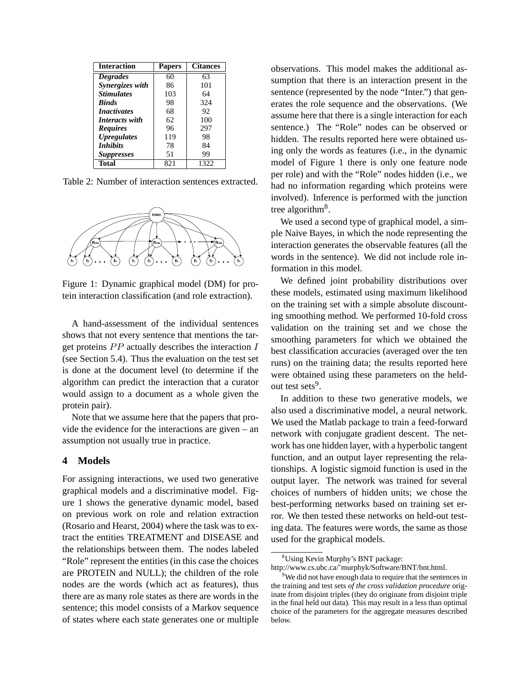| Interaction        | <b>Papers</b> | <b>Citances</b> |
|--------------------|---------------|-----------------|
| <b>Degrades</b>    | 60            | 63              |
| Synergizes with    | 86            | 101             |
| <b>Stimulates</b>  | 103           | 64              |
| <b>Binds</b>       | 98            | 324             |
| <i>Inactivates</i> | 68            | 92              |
| Interacts with     | 62            | 100             |
| <b>Requires</b>    | 96            | 297             |
| <b>Upregulates</b> | 119           | 98              |
| <b>Inhibits</b>    | 78            | 84              |
| <b>Suppresses</b>  | 51            | 99              |
| Total              | 821           | 1322            |

Table 2: Number of interaction sentences extracted.



Figure 1: Dynamic graphical model (DM) for protein interaction classification (and role extraction).

A hand-assessment of the individual sentences shows that not every sentence that mentions the target proteins  $PP$  actually describes the interaction  $I_{\text{best}}$ (see Section 5.4). Thus the evaluation on the test set is done at the document level (to determine if the algorithm can predict the interaction that a curator would assign to a document as a whole given the protein pair).

Note that we assume here that the papers that provide the evidence for the interactions are given – an assumption not usually true in practice.

### **4 Models**

For assigning interactions, we used two generative graphical models and a discriminative model. Figure 1 shows the generative dynamic model, based on previous work on role and relation extraction (Rosario and Hearst, 2004) where the task was to extract the entities TREATMENT and DISEASE and the relationships between them. The nodes labeled "Role" represent the entities (in this case the choices are PROTEIN and NULL); the children of the role nodes are the words (which act as features), thus there are as many role states as there are words in the sentence; this model consists of a Markov sequence of states where each state generates one or multiple observations. This model makes the additional assumption that there is an interaction present in the sentence (represented by the node "Inter.") that generates the role sequence and the observations. (We assume here that there is a single interaction for each sentence.) The "Role" nodes can be observed or hidden. The results reported here were obtained using only the words as features (i.e., in the dynamic model of Figure 1 there is only one feature node per role) and with the "Role" nodes hidden (i.e., we had no information regarding which proteins were involved). Inference is performed with the junction tree algorithm<sup>8</sup>.

We used a second type of graphical model, a simple Naive Bayes, in which the node representing the interaction generates the observable features (all the words in the sentence). We did not include role information in this model.

We defined joint probability distributions over these models, estimated using maximum likelihood on the training set with a simple absolute discounting smoothing method. We performed 10-fold cross validation on the training set and we chose the smoothing parameters for which we obtained the best classification accuracies (averaged over the ten runs) on the training data; the results reported here were obtained using these parameters on the heldout test sets<sup>9</sup>.

In addition to these two generative models, we also used a discriminative model, a neural network. We used the Matlab package to train a feed-forward network with conjugate gradient descent. The network has one hidden layer, with a hyperbolic tangent function, and an output layer representing the relationships. A logistic sigmoid function is used in the output layer. The network was trained for several choices of numbers of hidden units; we chose the best-performing networks based on training set error. We then tested these networks on held-out testing data. The features were words, the same as those used for the graphical models.

<sup>&</sup>lt;sup>8</sup>Using Kevin Murphy's BNT package:

http://www.cs.ubc.ca/˜murphyk/Software/BNT/bnt.html.

 $9^9$ We did not have enough data to require that the sentences in the training and test sets *of the cross validation procedure* originate from disjoint triples (they do originate from disjoint triple in the final held out data). This may result in a less than optimal choice of the parameters for the aggregate measures described below.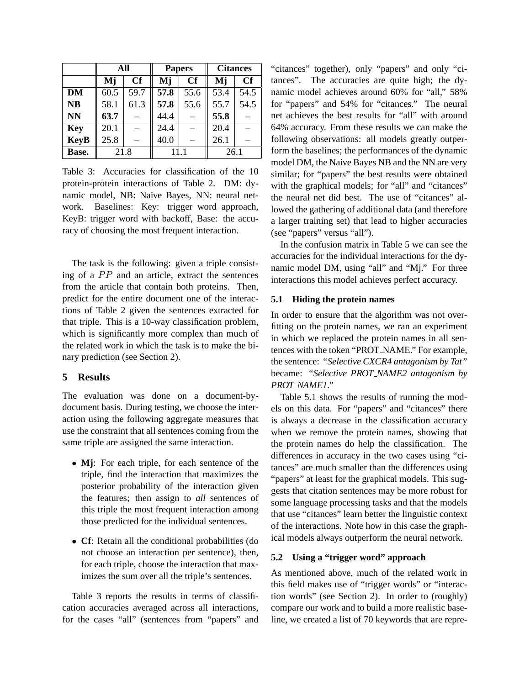|             | All      |      |      | <b>Papers</b> | <b>Citances</b> |      |  |
|-------------|----------|------|------|---------------|-----------------|------|--|
|             | Mj<br>Cf |      | Mj   | Cf            | Mj              | Cf   |  |
| <b>DM</b>   | 60.5     | 59.7 | 57.8 | 55.6          | 53.4            | 54.5 |  |
| <b>NB</b>   | 58.1     | 61.3 | 57.8 | 55.6          | 55.7            | 54.5 |  |
| <b>NN</b>   | 63.7     |      | 44.4 |               | 55.8            |      |  |
| <b>Key</b>  | 20.1     |      | 24.4 |               | 20.4            |      |  |
| <b>KeyB</b> | 25.8     |      | 40.0 |               | 26.1            |      |  |
| Base.       | 21.8     |      |      | 11 1          | 26.1            |      |  |

Table 3: Accuracies for classification of the 10 protein-protein interactions of Table 2. DM: dynamic model, NB: Naive Bayes, NN: neural network. Baselines: Key: trigger word approach, KeyB: trigger word with backoff, Base: the accuracy of choosing the most frequent interaction.

The task is the following: given a triple consisting of a  $PP$  and an article, extract the sentences from the article that contain both proteins. Then, predict for the entire document one of the interactions of Table 2 given the sentences extracted for that triple. This is a 10-way classification problem, which is significantly more complex than much of the related work in which the task is to make the binary prediction (see Section 2).

## **5 Results**

The evaluation was done on a document-bydocument basis. During testing, we choose the interaction using the following aggregate measures that use the constraint that all sentences coming from the same triple are assigned the same interaction.

- **Mj**: For each triple, for each sentence of the triple, find the interaction that maximizes the posterior probability of the interaction given the features; then assign to *all* sentences of this triple the most frequent interaction among those predicted for the individual sentences.
- **Cf**: Retain all the conditional probabilities (do not choose an interaction per sentence), then, for each triple, choose the interaction that maximizes the sum over all the triple's sentences.

Table 3 reports the results in terms of classification accuracies averaged across all interactions, for the cases "all" (sentences from "papers" and "citances" together), only "papers" and only "citances". The accuracies are quite high; the dynamic model achieves around 60% for "all," 58% for "papers" and 54% for "citances." The neural net achieves the best results for "all" with around 64% accuracy. From these results we can make the following observations: all models greatly outperform the baselines; the performances of the dynamic model DM, the Naive Bayes NB and the NN are very similar; for "papers" the best results were obtained with the graphical models; for "all" and "citances" the neural net did best. The use of "citances" allowed the gathering of additional data (and therefore a larger training set) that lead to higher accuracies (see "papers" versus "all").

In the confusion matrix in Table 5 we can see the accuracies for the individual interactions for the dynamic model DM, using "all" and "Mj." For three interactions this model achieves perfect accuracy.

## **5.1 Hiding the protein names**

In order to ensure that the algorithm was not overfitting on the protein names, we ran an experiment in which we replaced the protein names in all sentences with the token "PROT NAME." For example, the sentence: *"Selective CXCR4 antagonism by Tat"* became: *"Selective PROT NAME2 antagonism by PROT NAME1."*

Table 5.1 shows the results of running the models on this data. For "papers" and "citances" there is always a decrease in the classification accuracy when we remove the protein names, showing that the protein names do help the classification. The differences in accuracy in the two cases using "citances" are much smaller than the differences using "papers" at least for the graphical models. This suggests that citation sentences may be more robust for some language processing tasks and that the models that use "citances" learn better the linguistic context of the interactions. Note how in this case the graphical models always outperform the neural network.

### **5.2 Using a "trigger word" approach**

As mentioned above, much of the related work in this field makes use of "trigger words" or "interaction words" (see Section 2). In order to (roughly) compare our work and to build a more realistic baseline, we created a list of 70 keywords that are repre-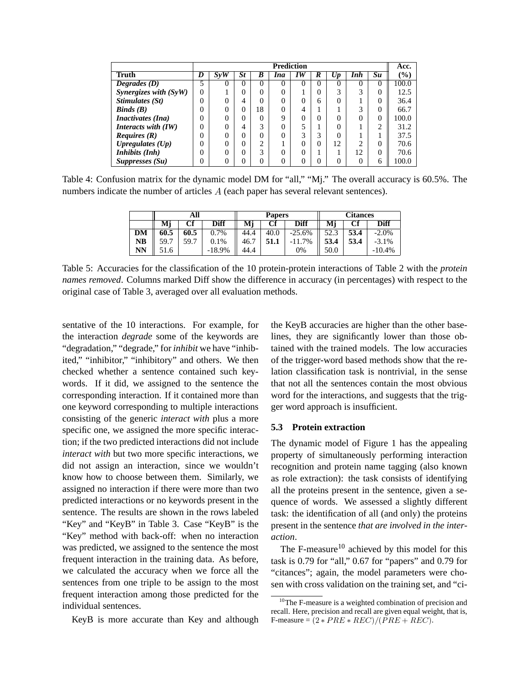|                          |          | <b>Prediction</b> |                |          |          |    |          | Acc.     |                 |    |                              |
|--------------------------|----------|-------------------|----------------|----------|----------|----|----------|----------|-----------------|----|------------------------------|
| Truth                    | IJ       | Sv W              | <i>St</i>      | В        | Ina      | 1W | ĸ        | Up       | Inh             | Su | $\left( \frac{0}{0} \right)$ |
| Degrades $(D)$           |          | 0                 | $\theta$       | $\theta$ | $\theta$ | 0  | $\theta$ | $\theta$ | 0               | 0  | 100.0                        |
| Synergizes with $(SyW)$  | $\theta$ |                   | 0              | $\Omega$ | 0        |    | 0        | 3        | ⌒               |    | 12.5                         |
| Stimulates (St)          | 0        | 0                 | 4              | $\Omega$ | 0        |    | 6        | 0        |                 |    | 36.4                         |
| Binds(B)                 | 0        | $\Omega$          | $\theta$       | 18       | 0        |    |          |          | 3               | 0  | 66.7                         |
| <i>Inactivates (Ina)</i> | 0        | $\Omega$          | $\Omega$       |          | 9        |    |          |          |                 | 0  | 100.0                        |
| Interacts with (IW)      | 0        | $\Omega$          | $\overline{4}$ | 3        | $\Omega$ |    |          |          |                 | ◠  | 31.2                         |
| <i>Requires</i> $(R)$    | 0        | $\Omega$          | $\Omega$       | $\Omega$ | 0        | 3  | 3        | 0        |                 |    | 37.5                         |
| Upregulates $(Up)$       | 0        | $\Omega$          | 0              | ◠        |          |    |          | 12       | ◠               |    | 70.6                         |
| Inhibits (Inh)           | 0        | 0                 | $\Omega$       | 3        | 0        |    |          |          | $\overline{12}$ |    | 70.6                         |
| Suppresses (Su)          | 0        | 0                 | 0              | 0        | 0        |    |          | 0        |                 | 6  | 100.0                        |

Table 4: Confusion matrix for the dynamic model DM for "all," "Mj." The overall accuracy is 60.5%. The numbers indicate the number of articles  $A$  (each paper has several relevant sentences).

|    | All  |      |          |      | <b>Papers</b> |          | Citances |      |          |  |
|----|------|------|----------|------|---------------|----------|----------|------|----------|--|
|    | Мj   |      | Diff     | Мj   | Cf            | Diff     | Мj       |      | Diff     |  |
| DM | 60.5 | 60.5 | 0.7%     | 44.4 | 40.0          | $-25.6%$ | 52.3     | 53.4 | $-2.0%$  |  |
| NB | 59.7 | 59.7 | 0.1%     | 46.7 | 51.1          | $-11.7%$ | 53.4     | 53.4 | $-3.1\%$ |  |
| NN | 51.6 |      | $-18.9%$ | 44.4 |               | 0%       | 50.0     |      | $-10.4%$ |  |

Table 5: Accuracies for the classification of the 10 protein-protein interactions of Table 2 with the *protein names removed*. Columns marked Diff show the difference in accuracy (in percentages) with respect to the original case of Table 3, averaged over all evaluation methods.

sentative of the 10 interactions. For example, for the interaction *degrade* some of the keywords are "degradation," "degrade," for *inhibit* we have "inhibited," "inhibitor," "inhibitory" and others. We then checked whether a sentence contained such keywords. If it did, we assigned to the sentence the corresponding interaction. If it contained more than one keyword corresponding to multiple interactions consisting of the generic *interact with* plus a more specific one, we assigned the more specific interaction; if the two predicted interactions did not include *interact with* but two more specific interactions, we did not assign an interaction, since we wouldn't know how to choose between them. Similarly, we assigned no interaction if there were more than two predicted interactions or no keywords present in the sentence. The results are shown in the rows labeled "Key" and "KeyB" in Table 3. Case "KeyB" is the "Key" method with back-off: when no interaction was predicted, we assigned to the sentence the most frequent interaction in the training data. As before, we calculated the accuracy when we force all the sentences from one triple to be assign to the most frequent interaction among those predicted for the individual sentences.

KeyB is more accurate than Key and although

the KeyB accuracies are higher than the other baselines, they are significantly lower than those obtained with the trained models. The low accuracies of the trigger-word based methods show that the relation classification task is nontrivial, in the sense that not all the sentences contain the most obvious word for the interactions, and suggests that the trigger word approach is insufficient.

# **5.3 Protein extraction**

The dynamic model of Figure 1 has the appealing property of simultaneously performing interaction recognition and protein name tagging (also known as role extraction): the task consists of identifying all the proteins present in the sentence, given a sequence of words. We assessed a slightly different task: the identification of all (and only) the proteins present in the sentence *that are involved in the interaction*.

The F-measure $10$  achieved by this model for this task is 0.79 for "all," 0.67 for "papers" and 0.79 for "citances"; again, the model parameters were chosen with cross validation on the training set, and "ci-

<sup>10</sup>The F-measure is a weighted combination of precision and recall. Here, precision and recall are given equal weight, that is, F-measure =  $(2 * PRE * REC)/(PRE + REC)$ .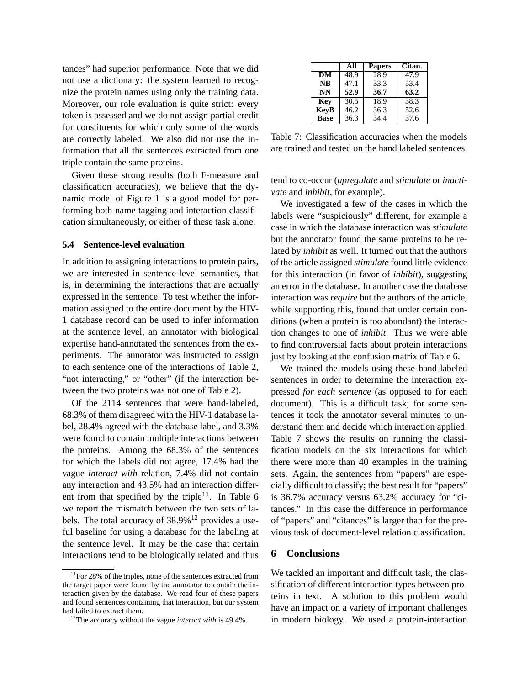tances" had superior performance. Note that we did not use a dictionary: the system learned to recognize the protein names using only the training data. Moreover, our role evaluation is quite strict: every token is assessed and we do not assign partial credit for constituents for which only some of the words are correctly labeled. We also did not use the information that all the sentences extracted from one triple contain the same proteins.

Given these strong results (both F-measure and classification accuracies), we believe that the dynamic model of Figure 1 is a good model for performing both name tagging and interaction classification simultaneously, or either of these task alone.

### **5.4 Sentence-level evaluation**

In addition to assigning interactions to protein pairs, we are interested in sentence-level semantics, that is, in determining the interactions that are actually expressed in the sentence. To test whether the information assigned to the entire document by the HIV-1 database record can be used to infer information at the sentence level, an annotator with biological expertise hand-annotated the sentences from the experiments. The annotator was instructed to assign to each sentence one of the interactions of Table 2, "not interacting," or "other" (if the interaction between the two proteins was not one of Table 2).

Of the 2114 sentences that were hand-labeled, 68.3% of them disagreed with the HIV-1 database label, 28.4% agreed with the database label, and 3.3% were found to contain multiple interactions between the proteins. Among the 68.3% of the sentences for which the labels did not agree, 17.4% had the vague *interact with* relation, 7.4% did not contain any interaction and 43.5% had an interaction different from that specified by the triple<sup>11</sup>. In Table 6 we report the mismatch between the two sets of labels. The total accuracy of  $38.9\%$ <sup>12</sup> provides a useful baseline for using a database for the labeling at the sentence level. It may be the case that certain interactions tend to be biologically related and thus

|             | All  | <b>Papers</b> | Citan. |
|-------------|------|---------------|--------|
| DM          | 48.9 | 28.9          | 47.9   |
| <b>NB</b>   | 47.1 | 33.3          | 53.4   |
| <b>NN</b>   | 52.9 | 36.7          | 63.2   |
| Key         | 30.5 | 18.9          | 38.3   |
| <b>KeyB</b> | 46.2 | 36.3          | 52.6   |
| <b>Base</b> | 36.3 | 34.4          | 37.6   |

Table 7: Classification accuracies when the models are trained and tested on the hand labeled sentences.

tend to co-occur (*upregulate* and *stimulate* or *inactivate* and *inhibit*, for example).

We investigated a few of the cases in which the labels were "suspiciously" different, for example a case in which the database interaction was *stimulate* but the annotator found the same proteins to be related by *inhibit* as well. It turned out that the authors of the article assigned *stimulate* found little evidence for this interaction (in favor of *inhibit*), suggesting an error in the database. In another case the database interaction was *require* but the authors of the article, while supporting this, found that under certain conditions (when a protein is too abundant) the interaction changes to one of *inhibit*. Thus we were able to find controversial facts about protein interactions just by looking at the confusion matrix of Table 6.

We trained the models using these hand-labeled sentences in order to determine the interaction expressed *for each sentence* (as opposed to for each document). This is a difficult task; for some sentences it took the annotator several minutes to understand them and decide which interaction applied. Table 7 shows the results on running the classification models on the six interactions for which there were more than 40 examples in the training sets. Again, the sentences from "papers" are especially difficult to classify; the best result for "papers" is 36.7% accuracy versus 63.2% accuracy for "citances." In this case the difference in performance of "papers" and "citances" is larger than for the previous task of document-level relation classification.

# **6 Conclusions**

We tackled an important and difficult task, the classification of different interaction types between proteins in text. A solution to this problem would have an impact on a variety of important challenges in modern biology. We used a protein-interaction

 $11$  For 28% of the triples, none of the sentences extracted from the target paper were found by the annotator to contain the interaction given by the database. We read four of these papers and found sentences containing that interaction, but our system had failed to extract them.

<sup>12</sup>The accuracy without the vague *interact with* is 49.4%.